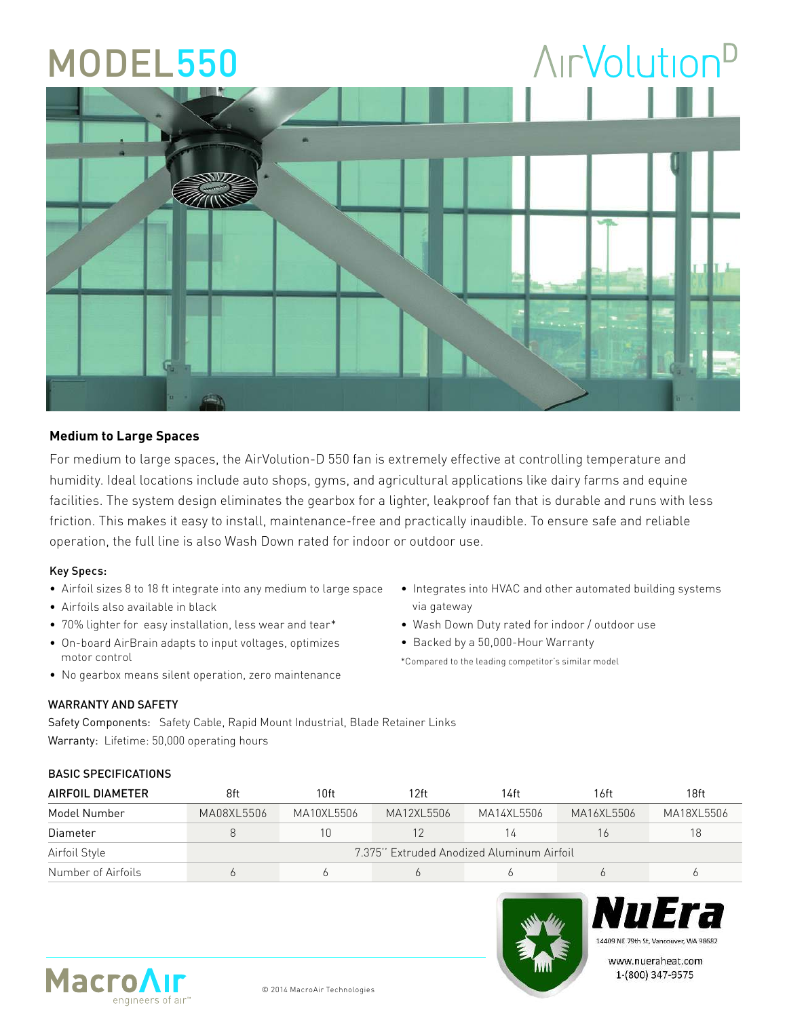# **AirVolution**<sup>D</sup> MODEL550

#### **Medium to Large Spaces**

For medium to large spaces, the AirVolution-D 550 fan is extremely effective at controlling temperature and humidity. Ideal locations include auto shops, gyms, and agricultural applications like dairy farms and equine facilities. The system design eliminates the gearbox for a lighter, leakproof fan that is durable and runs with less friction. This makes it easy to install, maintenance-free and practically inaudible. To ensure safe and reliable operation, the full line is also Wash Down rated for indoor or outdoor use.

#### Key Specs:

- Airfoil sizes 8 to 18 ft integrate into any medium to large space
- Airfoils also available in black
- 70% lighter for easy installation, less wear and tear\*
- On-board AirBrain adapts to input voltages, optimizes motor control
- No gearbox means silent operation, zero maintenance
- Integrates into HVAC and other automated building systems via gateway
- Wash Down Duty rated for indoor / outdoor use
- Backed by a 50,000-Hour Warranty

\*Compared to the leading competitor's similar model

### WARRANTY AND SAFETY

Safety Components: Safety Cable, Rapid Mount Industrial, Blade Retainer Links Warranty: Lifetime: 50,000 operating hours

#### BASIC SPECIFICATIONS

| AIRFOIL DIAMETER   | 8ft                                       | 10ft       | 12ft       | 14ft       | 16ft       | 18ft       |
|--------------------|-------------------------------------------|------------|------------|------------|------------|------------|
| Model Number       | MA08XL5506                                | MA10XL5506 | MA12XL5506 | MA14XL5506 | MA16XL5506 | MA18XL5506 |
| Diameter           |                                           | 10         |            | 14         |            | 18         |
| Airfoil Style      | 7.375" Extruded Anodized Aluminum Airfoil |            |            |            |            |            |
| Number of Airfoils |                                           |            |            |            |            |            |





www.nueraheat.com 1-(800) 347-9575



© 2014 MacroAir Technologies